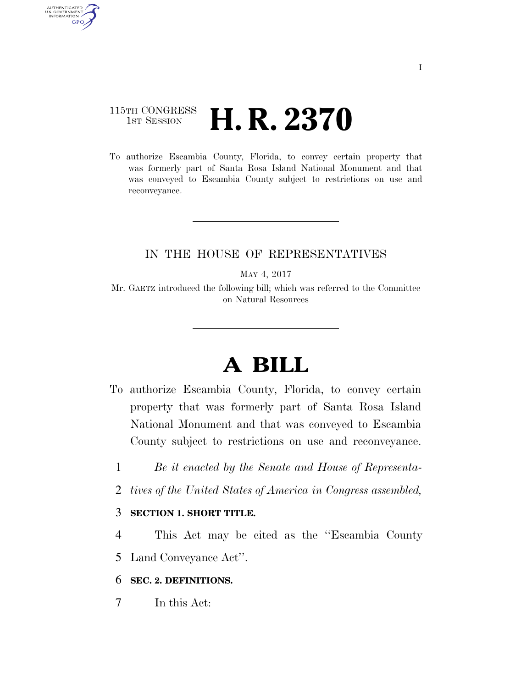### 115TH CONGRESS **1ST SESSION H. R. 2370**

AUTHENTICATED<br>U.S. GOVERNMENT<br>INFORMATION **GPO** 

> To authorize Escambia County, Florida, to convey certain property that was formerly part of Santa Rosa Island National Monument and that was conveyed to Escambia County subject to restrictions on use and reconveyance.

#### IN THE HOUSE OF REPRESENTATIVES

MAY 4, 2017

Mr. GAETZ introduced the following bill; which was referred to the Committee on Natural Resources

# **A BILL**

- To authorize Escambia County, Florida, to convey certain property that was formerly part of Santa Rosa Island National Monument and that was conveyed to Escambia County subject to restrictions on use and reconveyance.
	- 1 *Be it enacted by the Senate and House of Representa-*
	- 2 *tives of the United States of America in Congress assembled,*

#### 3 **SECTION 1. SHORT TITLE.**

4 This Act may be cited as the ''Escambia County

5 Land Conveyance Act''.

#### 6 **SEC. 2. DEFINITIONS.**

7 In this Act: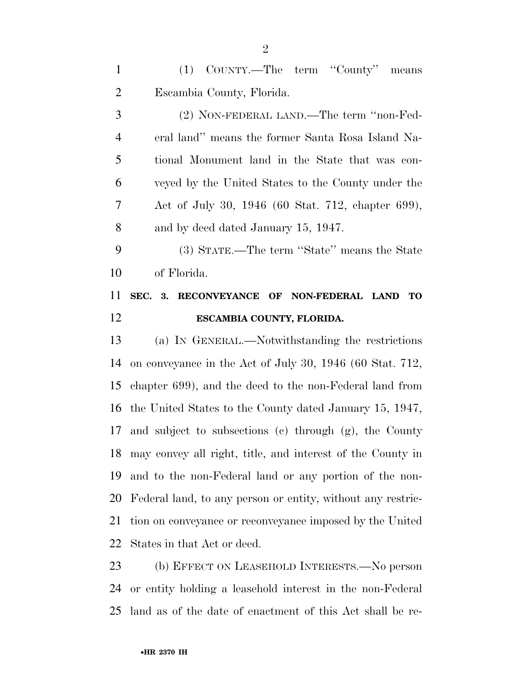(1) COUNTY.—The term ''County'' means Escambia County, Florida.

 (2) NON-FEDERAL LAND.—The term ''non-Fed- eral land'' means the former Santa Rosa Island Na- tional Monument land in the State that was con- veyed by the United States to the County under the Act of July 30, 1946 (60 Stat. 712, chapter 699), and by deed dated January 15, 1947.

 (3) STATE.—The term ''State'' means the State of Florida.

## **SEC. 3. RECONVEYANCE OF NON-FEDERAL LAND TO ESCAMBIA COUNTY, FLORIDA.**

 (a) IN GENERAL.—Notwithstanding the restrictions on conveyance in the Act of July 30, 1946 (60 Stat. 712, chapter 699), and the deed to the non-Federal land from the United States to the County dated January 15, 1947, and subject to subsections (c) through (g), the County may convey all right, title, and interest of the County in and to the non-Federal land or any portion of the non- Federal land, to any person or entity, without any restric- tion on conveyance or reconveyance imposed by the United States in that Act or deed.

 (b) EFFECT ON LEASEHOLD INTERESTS.—No person or entity holding a leasehold interest in the non-Federal land as of the date of enactment of this Act shall be re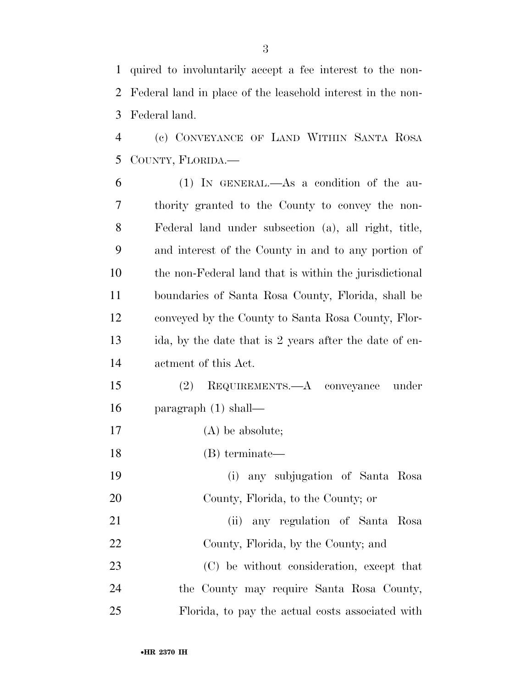quired to involuntarily accept a fee interest to the non- Federal land in place of the leasehold interest in the non-Federal land.

 (c) CONVEYANCE OF LAND WITHIN SANTA ROSA COUNTY, FLORIDA.—

 (1) IN GENERAL.—As a condition of the au- thority granted to the County to convey the non- Federal land under subsection (a), all right, title, and interest of the County in and to any portion of the non-Federal land that is within the jurisdictional boundaries of Santa Rosa County, Florida, shall be conveyed by the County to Santa Rosa County, Flor- ida, by the date that is 2 years after the date of en- actment of this Act. (2) REQUIREMENTS.—A conveyance under paragraph (1) shall— (A) be absolute;

(B) terminate—

 (i) any subjugation of Santa Rosa County, Florida, to the County; or

 (ii) any regulation of Santa Rosa County, Florida, by the County; and (C) be without consideration, except that the County may require Santa Rosa County,

Florida, to pay the actual costs associated with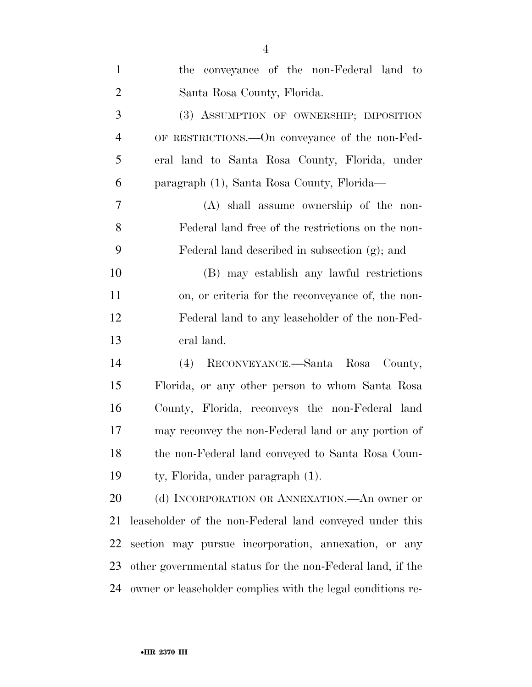| $\mathbf{1}$   | the conveyance of the non-Federal land to                   |
|----------------|-------------------------------------------------------------|
| $\overline{2}$ | Santa Rosa County, Florida.                                 |
| 3              | (3) ASSUMPTION OF OWNERSHIP; IMPOSITION                     |
| $\overline{4}$ | OF RESTRICTIONS. - On conveyance of the non-Fed-            |
| 5              | eral land to Santa Rosa County, Florida, under              |
| 6              | paragraph (1), Santa Rosa County, Florida—                  |
| $\overline{7}$ | (A) shall assume ownership of the non-                      |
| 8              | Federal land free of the restrictions on the non-           |
| 9              | Federal land described in subsection (g); and               |
| 10             | (B) may establish any lawful restrictions                   |
| 11             | on, or criteria for the reconveyance of, the non-           |
| 12             | Federal land to any leaseholder of the non-Fed-             |
| 13             | eral land.                                                  |
| 14             | (4) RECONVEYANCE.—Santa Rosa County,                        |
| 15             | Florida, or any other person to whom Santa Rosa             |
| 16             | County, Florida, reconveys the non-Federal land             |
| 17             | may reconvey the non-Federal land or any portion of         |
| 18             | the non-Federal land conveyed to Santa Rosa Coun-           |
| 19             | ty, Florida, under paragraph (1).                           |
| 20             | (d) INCORPORATION OR ANNEXATION.—An owner or                |
| 21             | leaseholder of the non-Federal land conveyed under this     |
| 22             | section may pursue incorporation, annexation, or any        |
| 23             | other governmental status for the non-Federal land, if the  |
| 24             | owner or leaseholder complies with the legal conditions re- |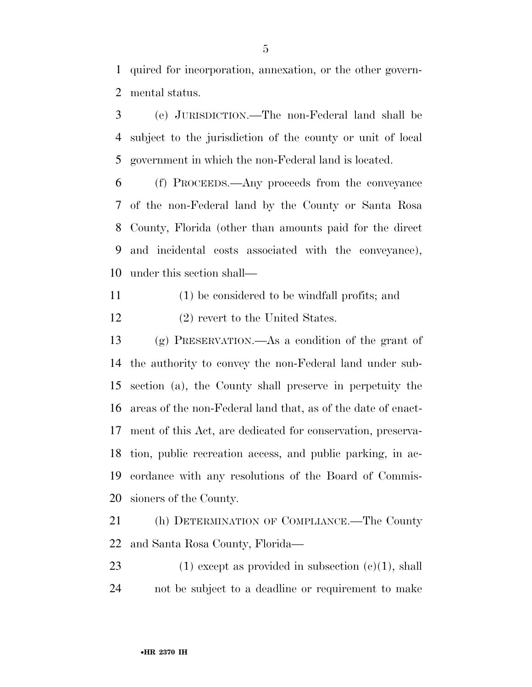quired for incorporation, annexation, or the other govern-mental status.

 (e) JURISDICTION.—The non-Federal land shall be subject to the jurisdiction of the county or unit of local government in which the non-Federal land is located.

 (f) PROCEEDS.—Any proceeds from the conveyance of the non-Federal land by the County or Santa Rosa County, Florida (other than amounts paid for the direct and incidental costs associated with the conveyance), under this section shall—

- (1) be considered to be windfall profits; and
- (2) revert to the United States.

 (g) PRESERVATION.—As a condition of the grant of the authority to convey the non-Federal land under sub- section (a), the County shall preserve in perpetuity the areas of the non-Federal land that, as of the date of enact- ment of this Act, are dedicated for conservation, preserva- tion, public recreation access, and public parking, in ac- cordance with any resolutions of the Board of Commis-sioners of the County.

 (h) DETERMINATION OF COMPLIANCE.—The County and Santa Rosa County, Florida—

23 (1) except as provided in subsection  $(c)(1)$ , shall not be subject to a deadline or requirement to make